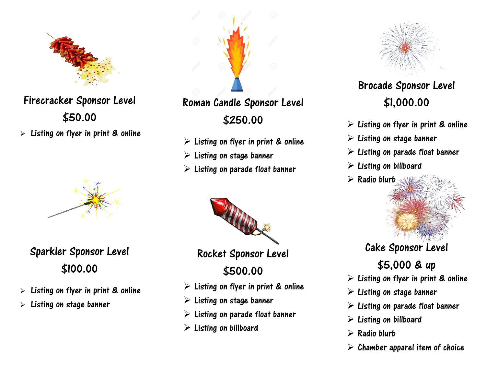

## Firecracker [Spo](http://www.pngall.com/firecrackers-png)nsor Level [\\$50.0](https://creativecommons.org/licenses/by-nc/3.0/)0

 $\triangleright$  Listing on flyer in print & online



Sparkler Sponsor Level \$100.00

- $\triangleright$  Listing on flyer in print & online
- $\triangleright$  Listing on stage banner



## Roman Candle Sponsor Level \$250.00

- $\triangleright$  Listing on flyer in print & online
- $\triangleright$  Listing on stage banner
- $\triangleright$  Listing on parade float banner



Rocket [Sponsor](http://www.google.com/url?sa=i&rct=j&q=&esrc=s&source=images&cd=&cad=rja&uact=8&ved=2ahUKEwi3mLeg2dHZAhUI9mMKHR7OAlkQjRx6BAgAEAY&url=http://bloodbrothersgame.wikia.com/wiki/Celebration_Fireworks&psig=AOvVaw1SEsdhk37jesTb32RB49ZU&ust=1520219378288345) Level \$500.00

- $\triangleright$  Listing on flyer in print & online
- $\triangleright$  Listing on stage banner
- $\triangleright$  Listing on parade float banner
- $\triangleright$  Listing on billboard



## Br[ocade](https://pngimg.com/download/15681) Sponsor Level [\\$](https://creativecommons.org/licenses/by-nc/3.0/)1,000.0[0](https://creativecommons.org/licenses/by-nc/3.0/)

- $\triangleright$  Listing on flyer in print & online
- $\triangleright$  Listing on stage banner
- $\triangleright$  Listing on parade float banner
- $\triangleright$  Listing on billboard
- $\triangleright$  Radio blurb



# \$5,000 & [up](https://creativecommons.org/licenses/by-nc/3.0/)

- $\triangleright$  Listing on flyer in print & online
- $\triangleright$  Listing on stage banner
- $\triangleright$  Listing on parade float banner
- $\triangleright$  Listing on billboard
- $\triangleright$  Radio blurb
- $\triangleright$  Chamber apparel item of choice